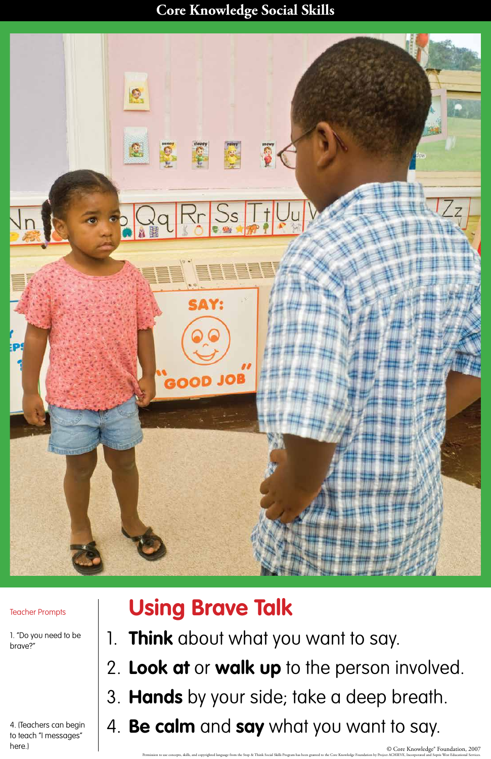## **Core Knowledge Social Skills**



## **Using Brave Talk**

- 1. **Think** about what you want to say.
- 2. **Look at** or **walk up** to the person involved.
- 3. **Hands** by your side; take a deep breath.
- 4. **Be calm** and **say** what you want to say.

Teacher Prompts

1. "Do you need to be brave?"

4. (Teachers can begin to teach "I messages" here.)